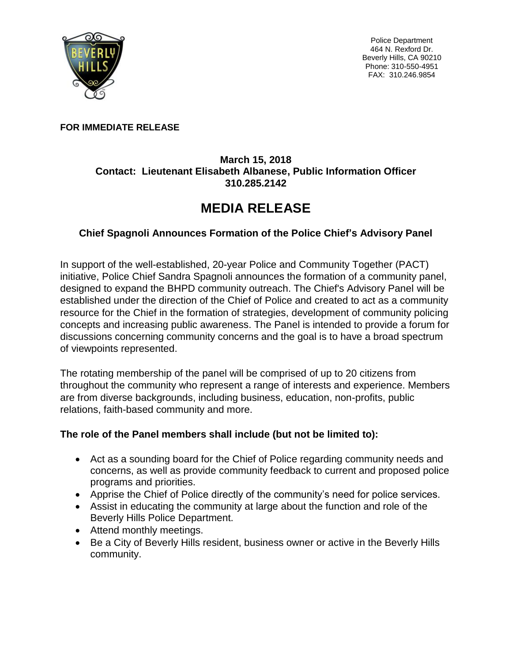

Police Department 464 N. Rexford Dr. Beverly Hills, CA 90210 Phone: 310-550-4951 FAX: 310.246.9854

### **FOR IMMEDIATE RELEASE**

## **March 15, 2018 Contact: Lieutenant Elisabeth Albanese, Public Information Officer 310.285.2142**

# **MEDIA RELEASE**

# **Chief Spagnoli Announces Formation of the Police Chief's Advisory Panel**

In support of the well-established, 20-year Police and Community Together (PACT) initiative, Police Chief Sandra Spagnoli announces the formation of a community panel, designed to expand the BHPD community outreach. The Chief's Advisory Panel will be established under the direction of the Chief of Police and created to act as a community resource for the Chief in the formation of strategies, development of community policing concepts and increasing public awareness. The Panel is intended to provide a forum for discussions concerning community concerns and the goal is to have a broad spectrum of viewpoints represented.

The rotating membership of the panel will be comprised of up to 20 citizens from throughout the community who represent a range of interests and experience. Members are from diverse backgrounds, including business, education, non-profits, public relations, faith-based community and more.

## **The role of the Panel members shall include (but not be limited to):**

- Act as a sounding board for the Chief of Police regarding community needs and concerns, as well as provide community feedback to current and proposed police programs and priorities.
- Apprise the Chief of Police directly of the community's need for police services.
- Assist in educating the community at large about the function and role of the Beverly Hills Police Department.
- Attend monthly meetings.
- Be a City of Beverly Hills resident, business owner or active in the Beverly Hills community.